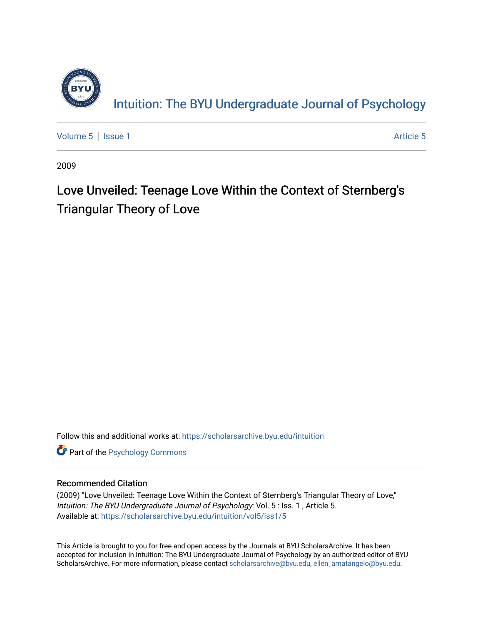

[Volume 5](https://scholarsarchive.byu.edu/intuition/vol5) | [Issue 1](https://scholarsarchive.byu.edu/intuition/vol5/iss1) Article 5

2009

# Love Unveiled: Teenage Love Within the Context of Sternberg's Triangular Theory of Love

Follow this and additional works at: [https://scholarsarchive.byu.edu/intuition](https://scholarsarchive.byu.edu/intuition?utm_source=scholarsarchive.byu.edu%2Fintuition%2Fvol5%2Fiss1%2F5&utm_medium=PDF&utm_campaign=PDFCoverPages) 

**Part of the Psychology Commons** 

#### Recommended Citation

(2009) "Love Unveiled: Teenage Love Within the Context of Sternberg's Triangular Theory of Love," Intuition: The BYU Undergraduate Journal of Psychology: Vol. 5 : Iss. 1 , Article 5. Available at: [https://scholarsarchive.byu.edu/intuition/vol5/iss1/5](https://scholarsarchive.byu.edu/intuition/vol5/iss1/5?utm_source=scholarsarchive.byu.edu%2Fintuition%2Fvol5%2Fiss1%2F5&utm_medium=PDF&utm_campaign=PDFCoverPages)

This Article is brought to you for free and open access by the Journals at BYU ScholarsArchive. It has been accepted for inclusion in Intuition: The BYU Undergraduate Journal of Psychology by an authorized editor of BYU ScholarsArchive. For more information, please contact [scholarsarchive@byu.edu, ellen\\_amatangelo@byu.edu.](mailto:scholarsarchive@byu.edu,%20ellen_amatangelo@byu.edu)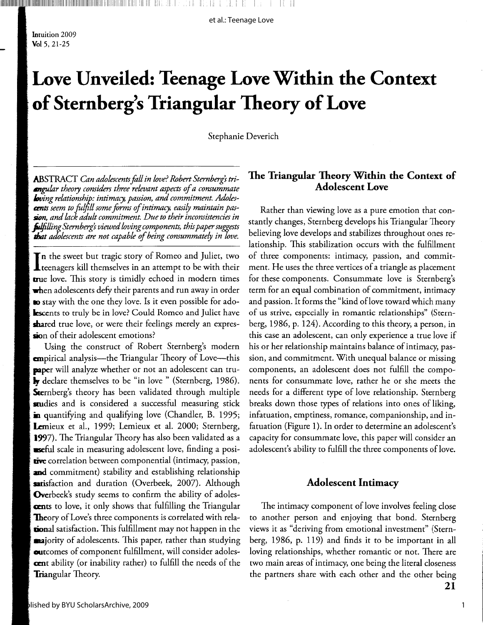et al.: Teenage Love

Intuition 2009  $Vol$  5, 21-25

# Love Unveiled: Teenage Love Within the Context of Sternberg's Triangular Theory of Love

Stephanie Deverich

ABSTRACT Can adolescents fall in love? Robert Sternberg's tri**engular** theory considers three relevant aspects of a consummate **Loving relationship: intimacy, passion, and commitment. Adolescent**s seem to fulfill some forms of intimacy, easily maintain passion, and lack adult commitment. Due to their inconsistencies in **fulfilling** Sternberg's viewed loving components, this paper suggests that adolescents are not capable of being consummately in love.

 $\mathbf T$ n the sweet but tragic story of Romeo and Juliet, two **L** teenagers kill themselves in an attempt to be with their true love. This story is timidly echoed in modern times when adolescents defy their parents and run away in order **to** stay with the one they love. Is it even possible for ado-**Escents to truly be in love?** Could Romeo and Juliet have shared true love, or were their feelings merely an expression of their adolescent emotions?

Using the construct of Robert Sternberg's modern **em**pirical analysis—the Triangular Theory of Love—this **paper** will analyze whether or not an adolescent can tru**ly** declare themselves to be "in love " (Sternberg, 1986). Sternberg's theory has been validated through multiple studies and is considered a successful measuring stick in quantifying and qualifying love (Chandler, B. 1995; Lemieux et al., 1999; Lemieux et al. 2000; Sternberg, 1997). The Triangular Theory has also been validated as a **eseful** scale in measuring adolescent love, finding a positive correlation between componential (intimacy, passion, and commitment) stability and establishing relationship sitisfaction and duration (Overbeek, 2007). Although Overbeek's study seems to confirm the ability of adoles**cents** to love, it only shows that fulfilling the Triangular **Theory** of Love's three components is correlated with rela**tional** satisfaction. This fulfillment may not happen in the **naj**ority of adolescents. This paper, rather than studying outcomes of component fulfillment, will consider adoles**cent** ability (or inability rather) to fulfill the needs of the Triangular Theory.

### The Triangular Theory Within the Context of **Adolescent Love**

Rather than viewing love as a pure emotion that constantly changes, Sternberg develops his Triangular Theory believing love develops and stabilizes throughout ones relationship. This stabilization occurs with the fulfillment of three components: intimacy, passion, and commitment. He uses the three vertices of a triangle as placement for these components. Consummate love is Sternberg's term for an equal combination of commitment, intimacy and passion. It forms the "kind of love toward which many of us strive, especially in romantic relationships" (Sternberg, 1986, p. 124). According to this theory, a person, in this case an adolescent, can only experience a true love if his or her relationship maintains balance of intimacy, passion, and commitment. With unequal balance or missing components, an adolescent does not fulfill the components for consummate love, rather he or she meets the needs for a different type of love relationship. Sternberg breaks down those types of relations into ones of liking, infatuation, emptiness, romance, companionship, and infatuation (Figure 1). In order to determine an adolescent's capacity for consummate love, this paper will consider an adolescent's ability to fulfill the three components of love.

#### **Adolescent Intimacy**

The intimacy component of love involves feeling close to another person and enjoying that bond. Sternberg views it as "deriving from emotional investment" (Sternberg, 1986, p. 119) and finds it to be important in all loving relationships, whether romantic or not. There are two main areas of intimacy, one being the literal closeness the partners share with each other and the other being 21

1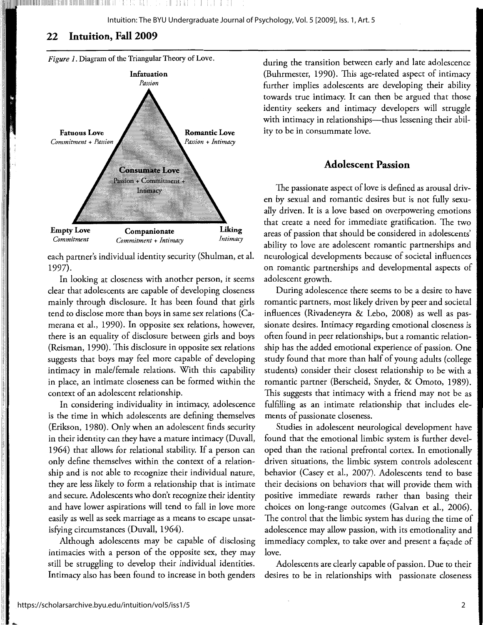# **22 Intuition, Fall 2009**

,1

II ll





each partner's individual identity security (Shulman, et al. 1997).

In looking at closeness with another person, it seems clear that adolescents are capable of developing closeness mainly through disclosure. It has been found that girls tend to disclose more than boys in same sex relations (Camerana et al., 1990). In opposite sex relations, however, there is an equality of disclosure between girls and boys (Reisman, 1990). This disclosure in opposite sex relations suggests that boys may feel more capable of developing intimacy in male/female relations. With this capability in place, an intimate closeness can be formed within the context of an adolescent relationship.

In considering individuality in intimacy, adolescence is the time in which adolescents are defining themselves (Erikson, 1980). Only when an adolescent finds security in their identity can they have a mature intimacy (Duvall, 1964) that allows for relational stability. If a person can only define themselves within the context of a relationship and is not able to recognize their individual nature, they are less likely to form a relationship that is intimate and secure. Adolescents who don't recognize their identity and have lower aspirations will tend to fall in love more easily as well as seek marriage as a means to escape unsatisfying circumstances (Duvall, 1964).

Although adolescents may be capable of disclosing intimacies with a person of the opposite sex, they may still be struggling to develop their individual identities. Intimacy also has been found to increase in both genders during the transition between early and late adolescence (Buhrmester, 1990). This age-related aspect of intimacy further implies adolescents are developing their ability towards true intimacy. It can then be argued that those identity seekers and intimacy developers will struggle with intimacy in relationships---thus lessening their ability to be in consummate love.

# **Adolescent Passion**

The passionate aspect of love is defined as arousal driven by sexual and romantic desires but is not fully sexually driven. It is a love based on overpowering emotions that create a need for immediate gratification. The two areas of passion that should be considered in adolescents' ability to love are adolescent romantic partnerships and neurological developments because of societal influences on romantic partnerships and developmental aspects of adolescent growth.

During adolescence there seems to be a desire to have romantic partners, most likely driven by peer and societal influences (Rivadeneyra & Lebo, 2008) as well as passionate desires. Intimacy regarding emotional closeness is often found in peer relationships, but a romantic relationship has the added emotional experience of passion. One study found that more than half of young adults (college students) consider their closest relationship to be with a romantic partner (Berscheid, Snyder, & Omoto, 1989). This suggests that intimacy with a friend may not be as fulfilling as an intimate relationship that includes elements of passionate closeness.

Studies in adolescent neurological development have found that the emotional limbic system is further developed than the rational prefrontal cortex. In emotionally driven situations, the limbic system controls adolescent behavior (Casey et al., 2007). Adolescents tend to base their decisions on behaviors that will provide them with positive immediate rewards rather than basing their choices on long-range outcomes (Galvan et al., 2006). The control that the limbic system has during the time of adolescence may allow passion, with its emotionality and immediacy complex, to take over and present a façade of love.

Adolescents are clearly capable of passion. Due to their desires to be in relationships with passionate closeness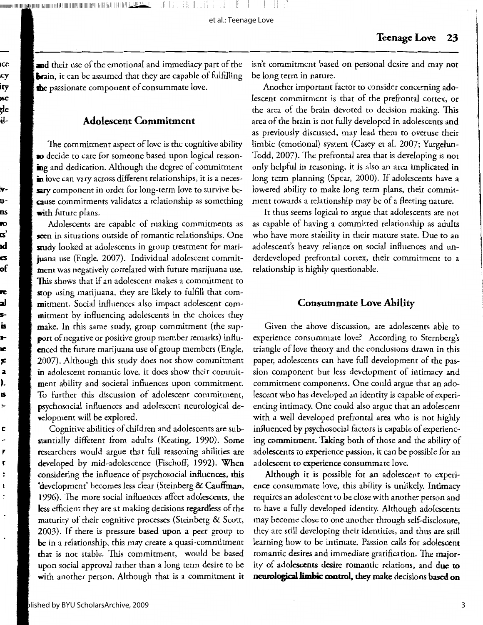111111111111111111111111111111111111111111111111111111,1111111111111111111111 Ii 111111111111111 11.~ I I I

et al.: Teenage Love

**and** their use of the emotional and immediacy part of the brain, it can be assumed that they are capable of fulfilling **the** passionate component of consummate love.

### Adolescent Commitment

The commitment aspect of love is the cognitive ability **so** decide to care for someone based upon logical reasoning and dedication. Although the degree of commitment in love can vary across different relationships, it is a necessary component in order for long-term love to survive because commitments validates a relationship as something **with** future plans.

Adolescents are capable of making commitments as seen in situations outside of romantic relationships. One study looked at adolescents in group treatment for marijuana use (Engle, 2007). Individual adolescent commitment was negatively correlated with future marijuana use. This shows that if an adolescent makes a commitment to stop using marijuana, they are likely to fulfill that commitment. Social influences also impact adolescent commitment by influencing adolescents in the choices they make. In this same study, group commitment (the support of negative or positive group member remarks) influenced the future marijuana use of group members (Engle, 2007). Although this study does not show commitment in adolescent romantic love, it does show their commitment ability and societal influences upon commitment. To further this discussion of adolescent commitment, psychosocial influences and adolescent neurological development will be explored.

Cognitive abilities of children and adolescents are substantially different from adults (Keating, 1990). Some researchers would argue that full reasoning abilities are developed by mid-adolescence (Fischoff, 1992). When considering the influence of psychosocial influences, this ·development' becomes less clear (Steinberg & Cauffman, 1996). The more social influences affect adolescents, the less efficient they are at making decisions regardless of the maturity of their cognitive processes (Steinberg & Scott, 2003). If there is pressure based upon a peer group to be in a relationship, this may create a quasi-commitment that is not stable. This commitment, would be based upon social approval rather than a long term desire to be with another person. Although that is a commitment it

isn't commitment based on personal desire and may not be long term in nature.

Another important factor to consider concerning adolescent commitment is that of the prefrontal cortex, or the area of the brain devoted to decision making. This area of the brain is not fully developed in adolescents and as previously discussed, may lead them to overuse their limbic (emotional) system (Casey et al. 2007; Yurgelun-Todd, 2007). The prefrontal area that is developing is not only helpful in reasoning, it is also an area implicated in long term planning (Spear, 2000). If adolescents have a lowered ability to make long term plans, their commitment towards a relationship may be of a fleeting nature.

It thus seems logical to argue that adolescents are not as capable of having a committed relationship as adults who have more stability in their mature state. Due to an adolescent's heavy reliance on social influences and underdeveloped prefrontal cortex, their commitment to a relationship is highly questionable.

#### Consummate Love Ability

Given the above discussion, are adolescents able to experience consummate love? According to Sternberg's triangle of love theory and the conclusions drawn in this paper, adolescents can have full development of the passion component but less development of intimacy and commitment components. One could argue that an adolescent who has developed an identity is capable of experiencing intimacy. One could also argue that an adolescent with a well developed prefrontal area who is not highly influenced by psychosocial factors is capable of experiencing commitment. Taking both of those and the ability of adolescents to experience passion, it can be possible for an adolescent to experience consummate love.

Although it is possible for an adolescent to experience consummate love, this ability is unlikely. Intimacy requires an adolescent to be dose with another person and to have a fully developed identity. Although adolescents may become dose to one another through self-disclosure, they are still developing their identities, and thus are still learning how to be intimate. Passion calls for adolescent romantic desires and immediate gratification. The majority of adolescents desire romantic relations, and due to **neurological limbic control, they make** decisions based on

:nee w:y ity **toSe**  gle bil-

**lV**rums **lift) its'**  r. **ZS**  of

**,c**  :al **S-**IS **t**ie ,: **a**  ~-IS !-

e

., t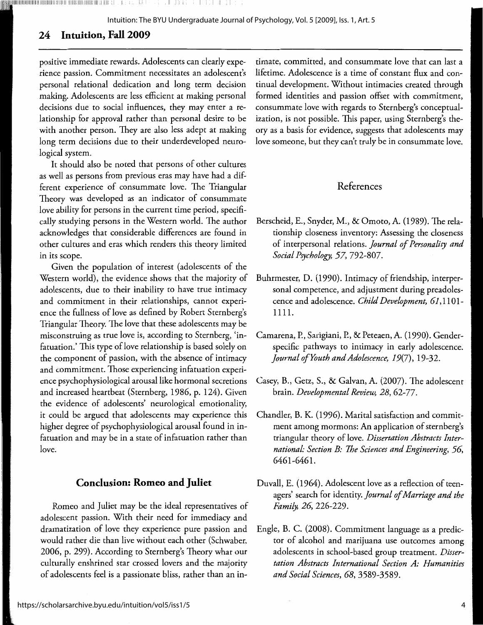lilllllllllllllllllllllllllllllllllllllllllllll!llillllilll:llllll.:l!i;ililll!lllli:11;11111!111111111;11111.iillll .I i :!

Intuition: The BYU Undergraduate Journal of Psychology, Vol. 5 [2009], Iss. 1, Art. 5

# **24 Intuition, Fall 2009**

positive immediate rewards. Adolescents can clearly experience passion. Commitment necessitates an adolescent's personal relational dedication and long term decision making. Adolescents are less efficient at making personal decisions due to social influences, they may enter a relationship for approval rather than personal desire to be with another person. They are also less adept at making long term decisions due to their underdeveloped neurological system.

It should also be noted that persons of other cultures as well as persons from previous eras may have had a different experience of consummate love. The Triangular Theory was developed as an indicator of consummate love ability for persons in the current time period, specifically studying persons in the Western world. The author acknowledges that considerable differences are found in other cultures and eras which renders this theory limited in its scope.

Given the population of interest (adolescents of the Western world), the evidence shows that the majority of adolescents, due to their inability to have true intimacy and commitment in their relationships, cannot experience the fullness of love as defined by Robert Sternberg's Triangular Theory. The love that these adolescents may be misconstruing as true love is, according to Sternberg, 'infatuation.' This type of love relationship is based solely on the component of passion, with the absence of intimacy and commitment. Those experiencing infatuation experience psychophysiological arousal like hormonal secretions and increased heartbeat (Sternberg, 1986, p. 124). Given the evidence of adolescents' neurological emotionality, it could be argued that adolescents may experience this higher degree of psychophysiological arousal found in infatuation and may be in a state of infatuation rather than love.

#### **Conclusion: Romeo and Juliet**

Romeo and Juliet may be the ideal representatives of adolescent passion. With their need for immediacy and dramatization of love they experience pure passion and would rather die than live without each other (Schwaber, 2006, p. 299). According to Sternberg's Theory what our culturally enshrined star crossed lovers and the majority of adolescents feel is a passionate bliss, rather than an in-

timate, committed, and consummate love that can last a lifetime. Adolescence is a time of constant flux and continual development. Without intimacies created through formed identities and passion offset with commitment, consummate love with regards to Sternberg's conceptualization, is not possible. This paper, using Sternberg's theory as a basis for evidence, suggests that adolescents may love someone, but they can't truly be in consummate love.

# References

- Berscheid, E., Snyder, M., & Omoto, A. (1989). The relationship closeness inventory: Assessing the closeness of interpersonal relations. *journal of Personality and Social Psychology, 57,* 792-807.
- Buhrmester, D. (1990). Intimacy of friendship, interpersonal competence, and adjustment during preadolescence and adolescence. *Child Development,* 61,1101- 1111.
- Camarena, P., Sarigiani, P., & Peteaen, A. (1990). Genderspecific pathways to intimacy in early adolescence. *journal ofYouth and Adolescence,* 19(7), 19-32.
- Casey, B., Getz, S., & Galvan, A. (2007). The adolescent brain. *Developmental Review, 28,* 62-77.
- Chandler, B. K. (1996). Marital satisfaction and commitment among mormons: An application of sternberg's triangular theory of love. *Dissertation Abstracts International: Section B: 7he Sciences and Engineering, 56,*  6461-6461.
- Duvall, E. (1964). Adolescent love as a reflection of teenagers' search for identity. *journal of Marriage and the Family, 26,* 226-229.
- Engle, B. C. (2008). Commitment language as a predictor of alcohol and marijuana use outcomes among adolescents in school-based group treatment. *Dissertation Abstracts International Section A: Humanities and Social Sciences, 68,* 3589-3589.